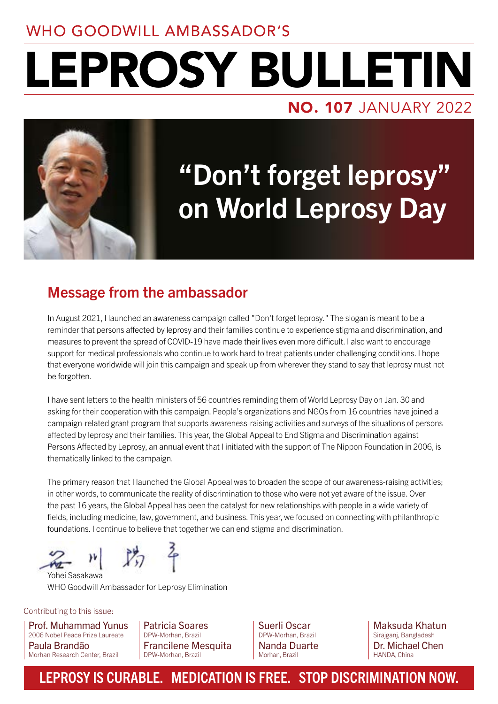### WHO GOODWILL AMBASSADOR'S

# NO. 107 JANUARY 2022 LEPROSY BULLETIN



# "Don't forget leprosy" on World Leprosy Day

### Message from the ambassador

In August 2021, I launched an awareness campaign called "Don't forget leprosy." The slogan is meant to be a reminder that persons affected by leprosy and their families continue to experience stigma and discrimination, and measures to prevent the spread of COVID-19 have made their lives even more difficult. I also want to encourage support for medical professionals who continue to work hard to treat patients under challenging conditions. I hope that everyone worldwide will join this campaign and speak up from wherever they stand to say that leprosy must not be forgotten.

I have sent letters to the health ministers of 56 countries reminding them of World Leprosy Day on Jan. 30 and asking for their cooperation with this campaign. People's organizations and NGOs from 16 countries have joined a campaign-related grant program that supports awareness-raising activities and surveys of the situations of persons affected by leprosy and their families. This year, the Global Appeal to End Stigma and Discrimination against Persons Affected by Leprosy, an annual event that I initiated with the support of The Nippon Foundation in 2006, is thematically linked to the campaign.

The primary reason that I launched the Global Appeal was to broaden the scope of our awareness-raising activities; in other words, to communicate the reality of discrimination to those who were not yet aware of the issue. Over the past 16 years, the Global Appeal has been the catalyst for new relationships with people in a wide variety of fields, including medicine, law, government, and business. This year, we focused on connecting with philanthropic foundations. I continue to believe that together we can end stigma and discrimination.

防车

Yohei Sasakawa WHO Goodwill Ambassador for Leprosy Elimination

Contributing to this issue:

Prof. Muhammad Yunus 2006 Nobel Peace Prize Laureate Paula Brandão Morhan Research Center, Brazil

Patricia Soares DPW-Morhan, Brazil Francilene Mesquita DPW-Morhan, Brazil

Suerli Oscar DPW-Morhan, Brazil Nanda Duarte Morhan, Brazil

Maksuda Khatun Sirajganj, Bangladesh Dr. Michael Chen HANDA, China

### LEPROSY IS CURABLE. MEDICATION IS FREE. STOP DISCRIMINATION NOW.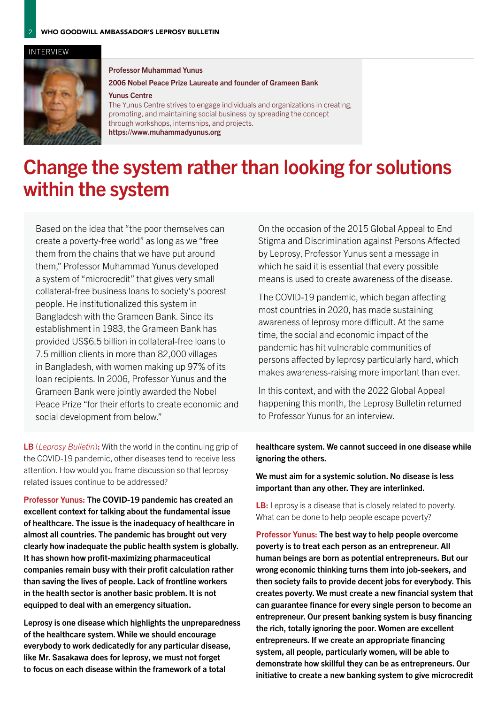#### INTERVIEW



#### Professor Muhammad Yunus

### 2006 Nobel Peace Prize Laureate and founder of Grameen Bank

#### Yunus Centre

The Yunus Centre strives to engage individuals and organizations in creating, promoting, and maintaining social business by spreading the concept through workshops, internships, and projects. <https://www.muhammadyunus.org>

## Change the system rather than looking for solutions within the system

Based on the idea that "the poor themselves can create a poverty-free world" as long as we "free them from the chains that we have put around them," Professor Muhammad Yunus developed a system of "microcredit" that gives very small collateral-free business loans to society's poorest people. He institutionalized this system in Bangladesh with the Grameen Bank. Since its establishment in 1983, the Grameen Bank has provided US\$6.5 billion in collateral-free loans to 7.5 million clients in more than 82,000 villages in Bangladesh, with women making up 97% of its loan recipients. In 2006, Professor Yunus and the Grameen Bank were jointly awarded the Nobel Peace Prize "for their efforts to create economic and social development from below."

LB (*Leprosy Bulletin*): With the world in the continuing grip of the COVID-19 pandemic, other diseases tend to receive less attention. How would you frame discussion so that leprosyrelated issues continue to be addressed?

Professor Yunus: The COVID-19 pandemic has created an excellent context for talking about the fundamental issue of healthcare. The issue is the inadequacy of healthcare in almost all countries. The pandemic has brought out very clearly how inadequate the public health system is globally. It has shown how profit-maximizing pharmaceutical companies remain busy with their profit calculation rather than saving the lives of people. Lack of frontline workers in the health sector is another basic problem. It is not equipped to deal with an emergency situation.

Leprosy is one disease which highlights the unpreparedness of the healthcare system. While we should encourage everybody to work dedicatedly for any particular disease, like Mr. Sasakawa does for leprosy, we must not forget to focus on each disease within the framework of a total

On the occasion of the 2015 Global Appeal to End Stigma and Discrimination against Persons Affected by Leprosy, Professor Yunus sent a message in which he said it is essential that every possible means is used to create awareness of the disease.

The COVID-19 pandemic, which began affecting most countries in 2020, has made sustaining awareness of leprosy more difficult. At the same time, the social and economic impact of the pandemic has hit vulnerable communities of persons affected by leprosy particularly hard, which makes awareness-raising more important than ever.

In this context, and with the 2022 Global Appeal happening this month, the Leprosy Bulletin returned to Professor Yunus for an interview.

### healthcare system. We cannot succeed in one disease while ignoring the others.

We must aim for a systemic solution. No disease is less important than any other. They are interlinked.

LB: Leprosy is a disease that is closely related to poverty. What can be done to help people escape poverty?

Professor Yunus: The best way to help people overcome poverty is to treat each person as an entrepreneur. All human beings are born as potential entrepreneurs. But our wrong economic thinking turns them into job-seekers, and then society fails to provide decent jobs for everybody. This creates poverty. We must create a new financial system that can guarantee finance for every single person to become an entrepreneur. Our present banking system is busy financing the rich, totally ignoring the poor. Women are excellent entrepreneurs. If we create an appropriate financing system, all people, particularly women, will be able to demonstrate how skillful they can be as entrepreneurs. Our initiative to create a new banking system to give microcredit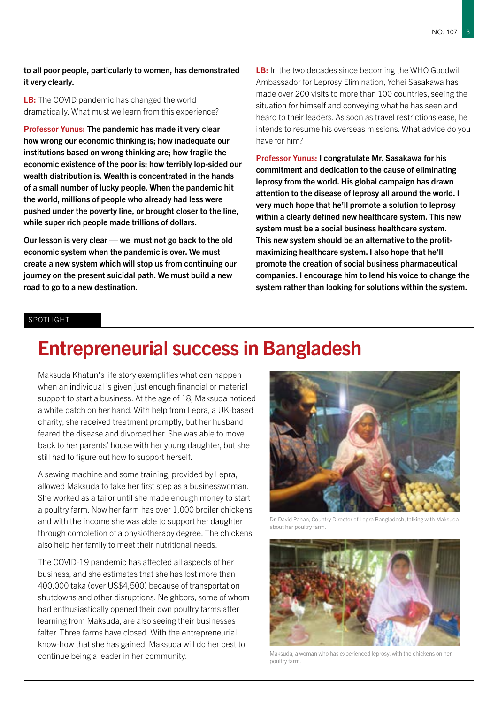### to all poor people, particularly to women, has demonstrated it very clearly.

LB: The COVID pandemic has changed the world dramatically. What must we learn from this experience?

Professor Yunus: The pandemic has made it very clear how wrong our economic thinking is; how inadequate our institutions based on wrong thinking are; how fragile the economic existence of the poor is; how terribly lop-sided our wealth distribution is. Wealth is concentrated in the hands of a small number of lucky people. When the pandemic hit the world, millions of people who already had less were pushed under the poverty line, or brought closer to the line, while super rich people made trillions of dollars.

Our lesson is very clear — we must not go back to the old economic system when the pandemic is over. We must create a new system which will stop us from continuing our journey on the present suicidal path. We must build a new road to go to a new destination.

LB: In the two decades since becoming the WHO Goodwill Ambassador for Leprosy Elimination, Yohei Sasakawa has made over 200 visits to more than 100 countries, seeing the situation for himself and conveying what he has seen and heard to their leaders. As soon as travel restrictions ease, he intends to resume his overseas missions. What advice do you have for him?

Professor Yunus: I congratulate Mr. Sasakawa for his commitment and dedication to the cause of eliminating leprosy from the world. His global campaign has drawn attention to the disease of leprosy all around the world. I very much hope that he'll promote a solution to leprosy within a clearly defined new healthcare system. This new system must be a social business healthcare system. This new system should be an alternative to the profitmaximizing healthcare system. I also hope that he'll promote the creation of social business pharmaceutical companies. I encourage him to lend his voice to change the system rather than looking for solutions within the system.

### SPOTLIGHT

### Entrepreneurial success in Bangladesh

Maksuda Khatun's life story exemplifies what can happen when an individual is given just enough financial or material support to start a business. At the age of 18, Maksuda noticed a white patch on her hand. With help from Lepra, a UK-based charity, she received treatment promptly, but her husband feared the disease and divorced her. She was able to move back to her parents' house with her young daughter, but she still had to figure out how to support herself.

A sewing machine and some training, provided by Lepra, allowed Maksuda to take her first step as a businesswoman. She worked as a tailor until she made enough money to start a poultry farm. Now her farm has over 1,000 broiler chickens and with the income she was able to support her daughter through completion of a physiotherapy degree. The chickens also help her family to meet their nutritional needs.

The COVID-19 pandemic has affected all aspects of her business, and she estimates that she has lost more than 400,000 taka (over US\$4,500) because of transportation shutdowns and other disruptions. Neighbors, some of whom had enthusiastically opened their own poultry farms after learning from Maksuda, are also seeing their businesses falter. Three farms have closed. With the entrepreneurial know-how that she has gained, Maksuda will do her best to continue being a leader in her community.



Dr. David Pahan, Country Director of Lepra Bangladesh, talking with Maksuda about her poultry farm.



Maksuda, a woman who has experienced leprosy, with the chickens on her poultry farm.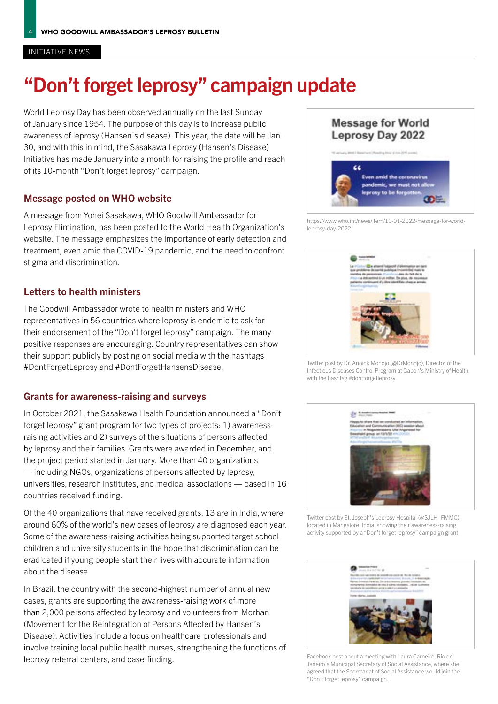#### INITIATIVE NEWS

## "Don't forget leprosy" campaign update

World Leprosy Day has been observed annually on the last Sunday of January since 1954. The purpose of this day is to increase public awareness of leprosy (Hansen's disease). This year, the date will be Jan. 30, and with this in mind, the Sasakawa Leprosy (Hansen's Disease) Initiative has made January into a month for raising the profile and reach of its 10-month "Don't forget leprosy" campaign.

### Message posted on WHO website

A message from Yohei Sasakawa, WHO Goodwill Ambassador for Leprosy Elimination, has been posted to the World Health Organization's website. The message emphasizes the importance of early detection and treatment, even amid the COVID-19 pandemic, and the need to confront stigma and discrimination.

### Letters to health ministers

The Goodwill Ambassador wrote to health ministers and WHO representatives in 56 countries where leprosy is endemic to ask for their endorsement of the "Don't forget leprosy" campaign. The many positive responses are encouraging. Country representatives can show their support publicly by posting on social media with the hashtags #DontForgetLeprosy and #DontForgetHansensDisease.

### Grants for awareness-raising and surveys

In October 2021, the Sasakawa Health Foundation announced a "Don't forget leprosy" grant program for two types of projects: 1) awarenessraising activities and 2) surveys of the situations of persons affected by leprosy and their families. Grants were awarded in December, and the project period started in January. More than 40 organizations — including NGOs, organizations of persons affected by leprosy, universities, research institutes, and medical associations — based in 16 countries received funding.

Of the 40 organizations that have received grants, 13 are in India, where around 60% of the world's new cases of leprosy are diagnosed each year. Some of the awareness-raising activities being supported target school children and university students in the hope that discrimination can be eradicated if young people start their lives with accurate information about the disease.

In Brazil, the country with the second-highest number of annual new cases, grants are supporting the awareness-raising work of more than 2,000 persons affected by leprosy and volunteers from Morhan (Movement for the Reintegration of Persons Affected by Hansen's Disease). Activities include a focus on healthcare professionals and involve training local public health nurses, strengthening the functions of leprosy referral centers, and case-finding.



[https://www.who.int/news/item/10-01-2022-message-for-world](https://www.who.int/news/item/10-01-2022-message-for-world-leprosy-day-2022)[leprosy-day-2022](https://www.who.int/news/item/10-01-2022-message-for-world-leprosy-day-2022)



Twitter post by Dr. Annick Mondjo (@DrMondjo), Director of the Infectious Diseases Control Program at Gabon's Ministry of Health, with the hashtag #dontforgetleprosy.



Twitter post by St. Joseph's Leprosy Hospital (@SJLH\_FMMC), located in Mangalore, India, showing their awareness-raising activity supported by a "Don't forget leprosy" campaign grant.



Facebook post about a meeting with Laura Carneiro, Rio de Janeiro's Municipal Secretary of Social Assistance, where she agreed that the Secretariat of Social Assistance would join the "Don't forget leprosy" campaign.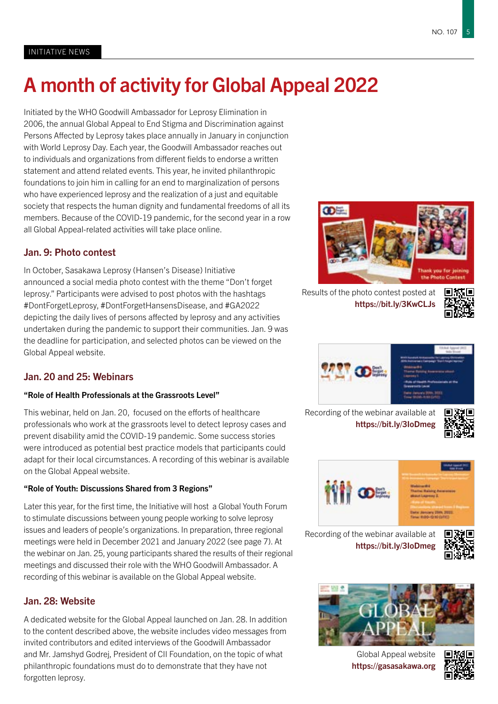# A month of activity for Global Appeal 2022

Initiated by the WHO Goodwill Ambassador for Leprosy Elimination in 2006, the annual Global Appeal to End Stigma and Discrimination against Persons Affected by Leprosy takes place annually in January in conjunction with World Leprosy Day. Each year, the Goodwill Ambassador reaches out to individuals and organizations from different fields to endorse a written statement and attend related events. This year, he invited philanthropic foundations to join him in calling for an end to marginalization of persons who have experienced leprosy and the realization of a just and equitable society that respects the human dignity and fundamental freedoms of all its members. Because of the COVID-19 pandemic, for the second year in a row all Global Appeal-related activities will take place online.

### Jan. 9: Photo contest

In October, Sasakawa Leprosy (Hansen's Disease) Initiative announced a social media photo contest with the theme "Don't forget leprosy." Participants were advised to post photos with the hashtags #DontForgetLeprosy, #DontForgetHansensDisease, and #GA2022 depicting the daily lives of persons affected by leprosy and any activities undertaken during the pandemic to support their communities. Jan. 9 was the deadline for participation, and selected photos can be viewed on the Global Appeal website.

### Jan. 20 and 25: Webinars

### "Role of Health Professionals at the Grassroots Level"

This webinar, held on Jan. 20, focused on the efforts of healthcare professionals who work at the grassroots level to detect leprosy cases and prevent disability amid the COVID-19 pandemic. Some success stories were introduced as potential best practice models that participants could adapt for their local circumstances. A recording of this webinar is available on the Global Appeal website.

### "Role of Youth: Discussions Shared from 3 Regions"

Later this year, for the first time, the Initiative will host a Global Youth Forum to stimulate discussions between young people working to solve leprosy issues and leaders of people's organizations. In preparation, three regional meetings were held in December 2021 and January 2022 (see page 7). At the webinar on Jan. 25, young participants shared the results of their regional meetings and discussed their role with the WHO Goodwill Ambassador. A recording of this webinar is available on the Global Appeal website.

### Jan. 28: Website

A dedicated website for the Global Appeal launched on Jan. 28. In addition to the content described above, the website includes video messages from invited contributors and edited interviews of the Goodwill Ambassador and Mr. Jamshyd Godrej, President of CII Foundation, on the topic of what philanthropic foundations must do to demonstrate that they have not forgotten leprosy.



Results of the photo contest posted at https://bit.ly/3KwCLJs







Recording of the webinar available at https://bit.ly/3IoDmeg





Recording of the webinar available at https://bit.ly/3IoDmeg





Global Appeal website <https://gasasakawa.org>

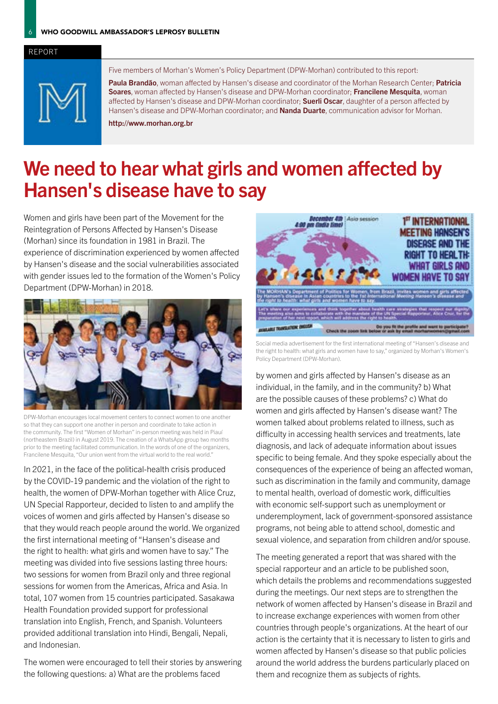### REPORT



Five members of Morhan's Women's Policy Department (DPW-Morhan) contributed to this report:

Paula Brandão, woman affected by Hansen's disease and coordinator of the Morhan Research Center; Patricia Soares, woman affected by Hansen's disease and DPW-Morhan coordinator; Francilene Mesquita, woman affected by Hansen's disease and DPW-Morhan coordinator; Suerli Oscar, daughter of a person affected by Hansen's disease and DPW-Morhan coordinator; and Nanda Duarte, communication advisor for Morhan.

http://www.morhan.org.br

## We need to hear what girls and women affected by Hansen's disease have to say

Women and girls have been part of the Movement for the Reintegration of Persons Affected by Hansen's Disease (Morhan) since its foundation in 1981 in Brazil. The experience of discrimination experienced by women affected by Hansen's disease and the social vulnerabilities associated with gender issues led to the formation of the Women's Policy Department (DPW-Morhan) in 2018.



DPW-Morhan encourages local movement centers to connect women to one another so that they can support one another in person and coordinate to take action in the community. The first "Women of Morhan" in-person meeting was held in Piauí (northeastern Brazil) in August 2019. The creation of a WhatsApp group two months prior to the meeting facilitated communication. In the words of one of the organizers, Francilene Mesquita, "Our union went from the virtual world to the real world."

In 2021, in the face of the political-health crisis produced by the COVID-19 pandemic and the violation of the right to health, the women of DPW-Morhan together with Alice Cruz, UN Special Rapporteur, decided to listen to and amplify the voices of women and girls affected by Hansen's disease so that they would reach people around the world. We organized the first international meeting of "Hansen's disease and the right to health: what girls and women have to say." The meeting was divided into five sessions lasting three hours: two sessions for women from Brazil only and three regional sessions for women from the Americas, Africa and Asia. In total, 107 women from 15 countries participated. Sasakawa Health Foundation provided support for professional translation into English, French, and Spanish. Volunteers provided additional translation into Hindi, Bengali, Nepali, and Indonesian.

The women were encouraged to tell their stories by answering the following questions: a) What are the problems faced



Social media advertisement for the first international meeting of "Hansen's disease and the right to health: what girls and women have to say," organized by Morhan's Women's Policy Department (DPW-Morhan).

by women and girls affected by Hansen's disease as an individual, in the family, and in the community? b) What are the possible causes of these problems? c) What do women and girls affected by Hansen's disease want? The women talked about problems related to illness, such as difficulty in accessing health services and treatments, late diagnosis, and lack of adequate information about issues specific to being female. And they spoke especially about the consequences of the experience of being an affected woman, such as discrimination in the family and community, damage to mental health, overload of domestic work, difficulties with economic self-support such as unemployment or underemployment, lack of government-sponsored assistance programs, not being able to attend school, domestic and sexual violence, and separation from children and/or spouse.

The meeting generated a report that was shared with the special rapporteur and an article to be published soon, which details the problems and recommendations suggested during the meetings. Our next steps are to strengthen the network of women affected by Hansen's disease in Brazil and to increase exchange experiences with women from other countries through people's organizations. At the heart of our action is the certainty that it is necessary to listen to girls and women affected by Hansen's disease so that public policies around the world address the burdens particularly placed on them and recognize them as subjects of rights.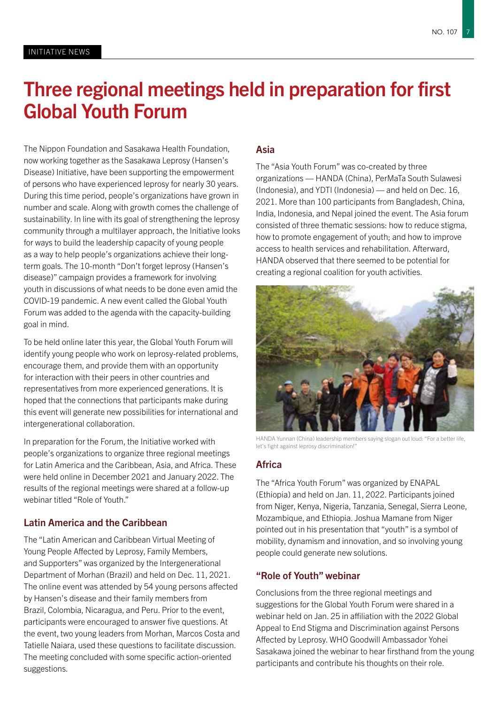### Three regional meetings held in preparation for first Global Youth Forum

The Nippon Foundation and Sasakawa Health Foundation, now working together as the Sasakawa Leprosy (Hansen's Disease) Initiative, have been supporting the empowerment of persons who have experienced leprosy for nearly 30 years. During this time period, people's organizations have grown in number and scale. Along with growth comes the challenge of sustainability. In line with its goal of strengthening the leprosy community through a multilayer approach, the Initiative looks for ways to build the leadership capacity of young people as a way to help people's organizations achieve their longterm goals. The 10-month "Don't forget leprosy (Hansen's disease)" campaign provides a framework for involving youth in discussions of what needs to be done even amid the COVID-19 pandemic. A new event called the Global Youth Forum was added to the agenda with the capacity-building goal in mind.

To be held online later this year, the Global Youth Forum will identify young people who work on leprosy-related problems, encourage them, and provide them with an opportunity for interaction with their peers in other countries and representatives from more experienced generations. It is hoped that the connections that participants make during this event will generate new possibilities for international and intergenerational collaboration.

In preparation for the Forum, the Initiative worked with people's organizations to organize three regional meetings for Latin America and the Caribbean, Asia, and Africa. These were held online in December 2021 and January 2022. The results of the regional meetings were shared at a follow-up webinar titled "Role of Youth."

### Latin America and the Caribbean

The "Latin American and Caribbean Virtual Meeting of Young People Affected by Leprosy, Family Members, and Supporters" was organized by the Intergenerational Department of Morhan (Brazil) and held on Dec. 11, 2021. The online event was attended by 54 young persons affected by Hansen's disease and their family members from Brazil, Colombia, Nicaragua, and Peru. Prior to the event, participants were encouraged to answer five questions. At the event, two young leaders from Morhan, Marcos Costa and Tatielle Naiara, used these questions to facilitate discussion. The meeting concluded with some specific action-oriented suggestions.

### Asia

The "Asia Youth Forum" was co-created by three organizations — HANDA (China), PerMaTa South Sulawesi (Indonesia), and YDTI (Indonesia) — and held on Dec. 16, 2021. More than 100 participants from Bangladesh, China, India, Indonesia, and Nepal joined the event. The Asia forum consisted of three thematic sessions: how to reduce stigma, how to promote engagement of youth; and how to improve access to health services and rehabilitation. Afterward, HANDA observed that there seemed to be potential for creating a regional coalition for youth activities.



HANDA Yunnan (China) leadership members saying slogan out loud: "For a better life, let's fight against leprosy discrimination!"

### Africa

The "Africa Youth Forum" was organized by ENAPAL (Ethiopia) and held on Jan. 11, 2022. Participants joined from Niger, Kenya, Nigeria, Tanzania, Senegal, Sierra Leone, Mozambique, and Ethiopia. Joshua Mamane from Niger pointed out in his presentation that "youth" is a symbol of mobility, dynamism and innovation, and so involving young people could generate new solutions.

### "Role of Youth" webinar

Conclusions from the three regional meetings and suggestions for the Global Youth Forum were shared in a webinar held on Jan. 25 in affiliation with the 2022 Global Appeal to End Stigma and Discrimination against Persons Affected by Leprosy. WHO Goodwill Ambassador Yohei Sasakawa joined the webinar to hear firsthand from the young participants and contribute his thoughts on their role.